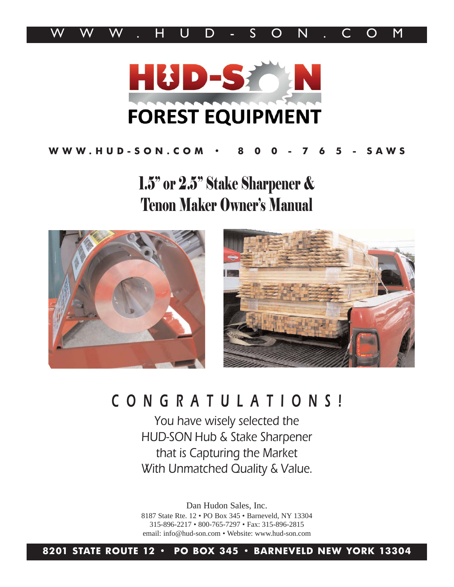



### **WWW.HUD-SON.COM • 8 0 0 - 7 6 5 - SAWS**

1.5" or 2.5" Stake Sharpener & Tenon Maker Owner's Manual





# CONGRATULATIONS!

You have wisely selected the HUD-SON Hub & Stake Sharpener that is Capturing the Market With Unmatched Quality & Value.

Dan Hudon Sales, Inc. 8187 State Rte. 12 • PO Box 345 • Barneveld, NY 13304 315-896-2217 • 800-765-7297 • Fax: 315-896-2815 email: info@hud-son.com • Website: www.hud-son.com

**8201 STATE ROUTE 12 • PO BOX 345 • BARNEVELD NEW YORK 13304**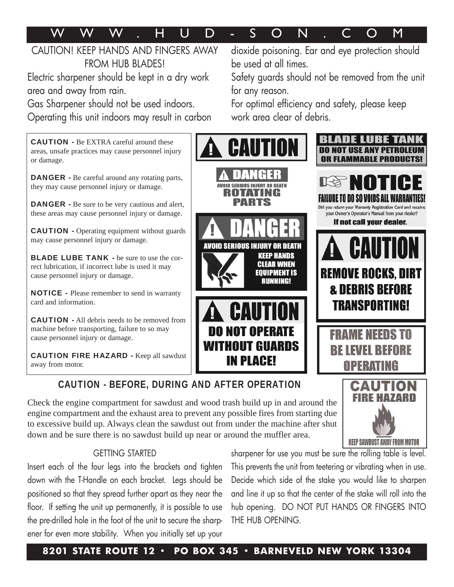# WWW. H U D - SON . COM

### CAUTION! KEEP HANDS AND FINGERS AWAY FROM HUB BLADES!

Electric sharpener should be kept in a dry work area and away from rain.

Gas Sharpener should not be used indoors. Operating this unit indoors may result in carbon

CAUTION - Be EXTRA careful around these areas, unsafe practices may cause personnel injury or damage.

DANGER - Be careful around any rotating parts, they may cause personnel injury or damage.

DANGER - Be sure to be very cautious and alert, these areas may cause personnel injury or damage.

CAUTION - Operating equipment without guards may cause personnel injury or damage.

BLADE LUBE TANK - be sure to use the correct lubrication, if incorrect lube is used it may cause personnel injury or damage.

NOTICE - Please remember to send in warranty card and information.

CAUTION - All debris needs to be removed from machine before transporting, failure to so may cause personnel injury or damage.

CAUTION FIRE HAZARD - Keep all sawdust away from motor.

dioxide poisoning. Ear and eye protection should be used at all times.

Safety guards should not be removed from the unit for any reason.

For optimal efficiency and safety, please keep work area clear of debris.



CAUTION - BEFORE, DURING AND AFTER OPERATION

Check the engine compartment for sawdust and wood trash build up in and around the engine compartment and the exhaust area to prevent any possible fires from starting due to excessive build up. Always clean the sawdust out from under the machine after shut down and be sure there is no sawdust build up near or around the muffler area.

#### GETTING STARTED

Insert each of the four legs into the brackets and tighten down with the T-Handle on each bracket. Legs should be positioned so that they spread further apart as they near the floor. If setting the unit up permanently, it is possible to use the pre-drilled hole in the foot of the unit to secure the sharpener for even more stability. When you initially set up your sharpener for use you must be sure the rolling table is level. This prevents the unit from teetering or vibrating when in use. Decide which side of the stake you would like to sharpen and line it up so that the center of the stake will roll into the hub opening. DO NOT PUT HANDS OR FINGERS INTO THE HUB OPENING.

**KEEP SAWDUST AWAY FROM MOTOR**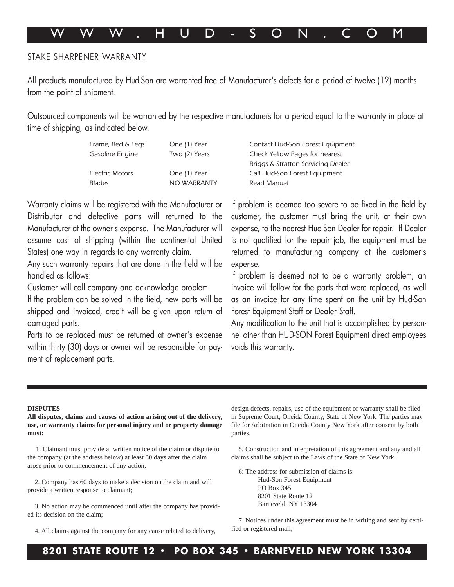# WWW. H U D - SON . COM

#### STAKE SHARPENER WARRANTY

All products manufactured by Hud-Son are warranted free of Manufacturer's defects for a period of twelve (12) months from the point of shipment.

Outsourced components will be warranted by the respective manufacturers for a period equal to the warranty in place at time of shipping, as indicated below.

| Frame, Bed & Legs      | One (1) Year  | Contact Hud-Son Fo        |
|------------------------|---------------|---------------------------|
| Gasoline Engine        | Two (2) Years | <b>Check Yellow Pages</b> |
|                        |               | Briggs & Stratton Se      |
| <b>Electric Motors</b> | One (1) Year  | Call Hud-Son Forest       |
| <b>Blades</b>          | NO WARRANTY   | Read Manual               |
|                        |               |                           |

Warranty claims will be registered with the Manufacturer or Distributor and defective parts will returned to the Manufacturer at the owner's expense. The Manufacturer will assume cost of shipping (within the continental United States) one way in regards to any warranty claim.

Any such warranty repairs that are done in the field will be handled as follows:

Customer will call company and acknowledge problem.

If the problem can be solved in the field, new parts will be shipped and invoiced, credit will be given upon return of damaged parts.

Parts to be replaced must be returned at owner's expense within thirty (30) days or owner will be responsible for payment of replacement parts.

orest Equipment for nearest rvicing Dealer Equipment

If problem is deemed too severe to be fixed in the field by customer, the customer must bring the unit, at their own expense, to the nearest Hud-Son Dealer for repair. If Dealer is not qualified for the repair job, the equipment must be returned to manufacturing company at the customer's expense.

If problem is deemed not to be a warranty problem, an invoice will follow for the parts that were replaced, as well as an invoice for any time spent on the unit by Hud-Son Forest Equipment Staff or Dealer Staff.

Any modification to the unit that is accomplished by personnel other than HUD-SON Forest Equipment direct employees voids this warranty.

#### **DISPUTES**

**All disputes, claims and causes of action arising out of the delivery, use, or warranty claims for personal injury and or property damage must:**

1. Claimant must provide a written notice of the claim or dispute to the company (at the address below) at least 30 days after the claim arose prior to commencement of any action;

2. Company has 60 days to make a decision on the claim and will provide a written response to claimant;

3. No action may be commenced until after the company has provided its decision on the claim;

4. All claims against the company for any cause related to delivery,

design defects, repairs, use of the equipment or warranty shall be filed in Supreme Court, Oneida County, State of New York. The parties may file for Arbitration in Oneida County New York after consent by both parties.

5. Construction and interpretation of this agreement and any and all claims shall be subject to the Laws of the State of New York.

6: The address for submission of claims is:

Hud-Son Forest Equipment PO Box 345 8201 State Route 12 Barneveld, NY 13304

7. Notices under this agreement must be in writing and sent by certified or registered mail;

#### **8201 STATE ROUTE 12 • PO BOX 345 • BARNEVELD NEW YORK 13304**